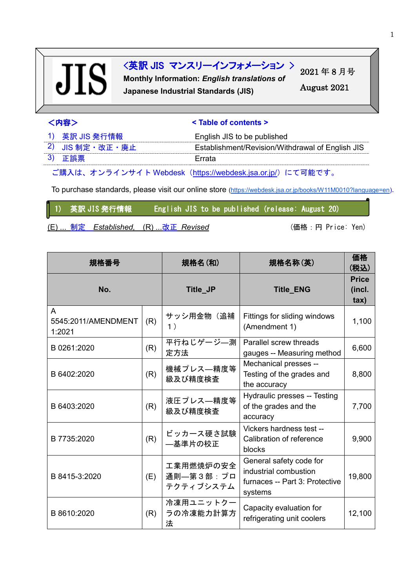# **JIS**

## <英訳 JIS マンスリーインフォメーション >

**Monthly Information:** *English translations of* **Japanese Industrial Standards (JIS)**

2021 年 8 月号 August 2021

|  | 八2<br>э٠ |  |  |  |
|--|----------|--|--|--|
|--|----------|--|--|--|

#### $\le$  Table of contents >

| 1) 英訳 JIS 発行情報  | English JIS to be published                      |
|-----------------|--------------------------------------------------|
| 2) JIS 制定・改正・廃止 | Establishment/Revision/Withdrawal of English JIS |
| 3) 正誤票          | Frrata                                           |

ご購入は、オンラインサイト Webdesk(<https://webdesk.jsa.or.jp/>)にて可能です。

To purchase standards, please visit our online store [\(https://webdesk.jsa.or.jp/books/W11M0010?language=en\)](https://webdesk.jsa.or.jp/books/W11M0010?language=en).

1) 英訳 JIS 発行情報 English JIS to be published (release: August 20)

(E) ... 制定 Established, (R) ...改正 Revised (married: Tennice: Yen)

| 規格番号                               |     | 規格名(和)<br>規格名称(英)                   |                                                                                               | 価格<br>(税込)                               |
|------------------------------------|-----|-------------------------------------|-----------------------------------------------------------------------------------------------|------------------------------------------|
| No.                                |     | Title_JP                            | <b>Title_ENG</b>                                                                              | <b>Price</b><br>(incl.<br>$\mathbf{tax}$ |
| A<br>5545:2011/AMENDMENT<br>1:2021 | (R) | サッシ用金物(追補<br>1)                     | Fittings for sliding windows<br>(Amendment 1)                                                 | 1,100                                    |
| B 0261:2020                        | (R) | 平行ねじゲージ–測<br>定方法                    | Parallel screw threads<br>gauges -- Measuring method                                          | 6,600                                    |
| B 6402:2020                        | (R) | 機械プレス―精度等<br>級及び精度検査                | Mechanical presses --<br>Testing of the grades and<br>the accuracy                            | 8,800                                    |
| B 6403:2020                        | (R) | 液圧プレス–精度等<br>級及び精度検査                | Hydraulic presses -- Testing<br>of the grades and the<br>accuracy                             | 7,700                                    |
| B 7735:2020                        | (R) | ビッカース硬さ試験<br>—基準片の校正                | Vickers hardness test --<br>Calibration of reference<br>blocks                                | 9,900                                    |
| B 8415-3:2020                      | (E) | 工業用燃焼炉の安全<br>通則–第3部:プロ<br>テクティブシステム | General safety code for<br>industrial combustion<br>furnaces -- Part 3: Protective<br>systems | 19,800                                   |
| B 8610:2020                        | (R) | 冷凍用ユニットクー<br>ラの冷凍能力計算方<br>法         | Capacity evaluation for<br>refrigerating unit coolers                                         | 12,100                                   |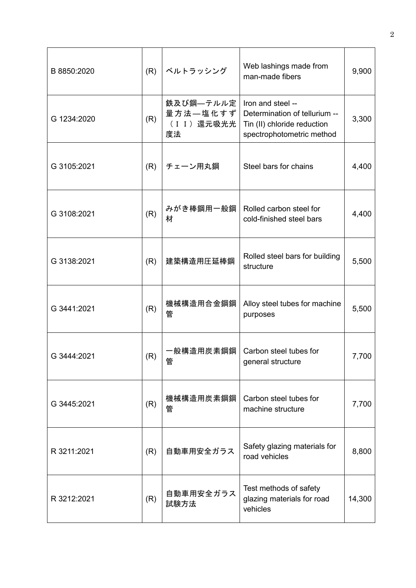| B 8850:2020 | (R) | ベルトラッシング                                    | Web lashings made from<br>man-made fibers                                                                      | 9,900  |
|-------------|-----|---------------------------------------------|----------------------------------------------------------------------------------------------------------------|--------|
| G 1234:2020 | (R) | 鉄及び鋼––テルル定<br>量方法–塩化すず <br>(II) 還元吸光光<br>度法 | Iron and steel --<br>Determination of tellurium --<br>Tin (II) chloride reduction<br>spectrophotometric method | 3,300  |
| G 3105:2021 | (R) | Steel bars for chains<br>チェーン用丸鋼            |                                                                                                                | 4,400  |
| G 3108:2021 | (R) | みがき棒鋼用一般鋼<br>材                              | Rolled carbon steel for<br>cold-finished steel bars                                                            | 4,400  |
| G 3138:2021 | (R) | 建築構造用圧延棒鋼                                   | Rolled steel bars for building<br>structure                                                                    | 5,500  |
| G 3441:2021 | (R) | 機械構造用合金鋼鋼<br>管                              | Alloy steel tubes for machine<br>purposes                                                                      | 5,500  |
| G 3444:2021 | (R) | 一般構造用炭素鋼鋼<br>管                              | Carbon steel tubes for<br>general structure                                                                    | 7,700  |
| G 3445:2021 | (R) | 機械構造用炭素鋼鋼<br>管                              | Carbon steel tubes for<br>machine structure                                                                    | 7,700  |
| R 3211:2021 | (R) | 自動車用安全ガラス                                   | Safety glazing materials for<br>road vehicles                                                                  | 8,800  |
| R 3212:2021 | (R) | 自動車用安全ガラス<br>試験方法                           | Test methods of safety<br>glazing materials for road<br>vehicles                                               | 14,300 |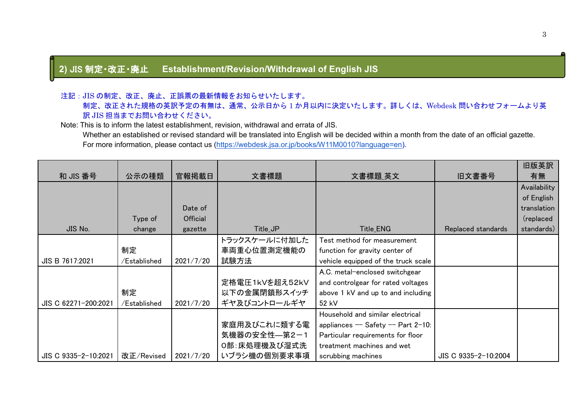## **2)** JIS 制定・改正・廃止 **Establishment/Revision/Withdrawal of English JIS**

#### 注記:JIS の制定、改正、廃止、正誤票の最新情報をお知らせいたします。

 制定、改正された規格の英訳予定の有無は、通常、公示日から 1 か月以内に決定いたします。詳しくは、Webdesk 問い合わせフォームより英 訳 JIS 担当までお問い合わせください。

Note: This is to inform the latest establishment, revision, withdrawal and errata of JIS.

Whether an established or revised standard will be translated into English will be decided within a month from the date of an official gazette. For more information, please contact us [\(https://webdesk.jsa.or.jp/books/W11M0010?language=en\)](https://webdesk.jsa.or.jp/books/W11M0010?language=en).

|                      |              |           |                |                                      |                      | 旧版英訳         |
|----------------------|--------------|-----------|----------------|--------------------------------------|----------------------|--------------|
| 和 JIS 番号             | 公示の種類        | 官報掲載日     | 文書標題           | 文書標題_英文                              | 旧文書番号                | 有無           |
|                      |              |           |                |                                      |                      | Availability |
|                      |              |           |                |                                      |                      | of English   |
|                      |              | Date of   |                |                                      |                      | translation  |
|                      | Type of      | Official  |                |                                      |                      | (replaced)   |
| JIS No.              | change       | gazette   | Title_JP       | Title_ENG                            | Replaced standards   | standards)   |
|                      |              |           | トラックスケールに付加した  | Test method for measurement          |                      |              |
|                      | 制定           |           | 車両重心位置測定機能の    | function for gravity center of       |                      |              |
| JIS B 7617:2021      | /Established | 2021/7/20 | 試験方法           | vehicle equipped of the truck scale  |                      |              |
|                      |              |           |                | A.C. metal-enclosed switchgear       |                      |              |
|                      |              |           | 定格電圧1kVを超え52kV | and controlgear for rated voltages   |                      |              |
|                      | 制定           |           | 以下の金属閉鎖形スイッチ   | above 1 kV and up to and including   |                      |              |
| JIS C 62271-200:2021 | /Established | 2021/7/20 | ギヤ及びコントロールギヤ   | 52 kV                                |                      |              |
|                      |              |           |                | Household and similar electrical     |                      |              |
|                      |              |           | 家庭用及びこれに類する電   | appliances $-$ Safety $-$ Part 2-10: |                      |              |
|                      |              |           | 気機器の安全性––第2–1  | Particular requirements for floor    |                      |              |
|                      |              |           | 0部:床処理機及び湿式洗   | treatment machines and wet           |                      |              |
| JIS C 9335-2-10:2021 | 改正/Revised   | 2021/7/20 | いブラシ機の個別要求事項   | scrubbing machines                   | JIS C 9335-2-10:2004 |              |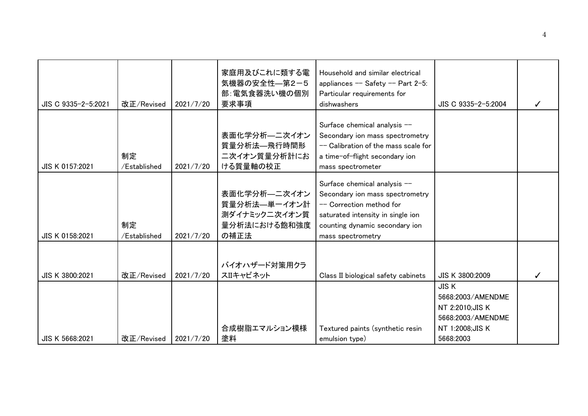| JIS C 9335-2-5:2021 | 改正/Revised         | 2021/7/20 | 家庭用及びこれに類する電<br>気機器の安全性––第2-5<br>部:電気食器洗い機の個別<br>要求事項                  | Household and similar electrical<br>appliances $-$ Safety $-$ Part 2-5:<br>Particular requirements for<br>dishwashers                                                                   | JIS C 9335-2-5:2004                                                                                        | ✓ |
|---------------------|--------------------|-----------|------------------------------------------------------------------------|-----------------------------------------------------------------------------------------------------------------------------------------------------------------------------------------|------------------------------------------------------------------------------------------------------------|---|
| JIS K 0157:2021     | 制定<br>/Established | 2021/7/20 | 表面化学分析––二次イオン<br>質量分析法—飛行時間形<br>二次イオン質量分析計にお<br>ける質量軸の校正               | Surface chemical analysis --<br>Secondary ion mass spectrometry<br>-- Calibration of the mass scale for<br>a time-of-flight secondary ion<br>mass spectrometer                          |                                                                                                            |   |
| JIS K 0158:2021     | 制定<br>/Established | 2021/7/20 | 表面化学分析––二次イオン<br>質量分析法–単一イオン計<br>測ダイナミック二次イオン質<br>量分析法における飽和強度<br>の補正法 | Surface chemical analysis --<br>Secondary ion mass spectrometry<br>-- Correction method for<br>saturated intensity in single ion<br>counting dynamic secondary ion<br>mass spectrometry |                                                                                                            |   |
| JIS K 3800:2021     | 改正/Revised         | 2021/7/20 | バイオハザード対策用クラ<br>スIIキャビネット                                              | Class II biological safety cabinets                                                                                                                                                     | JIS K 3800:2009                                                                                            |   |
| JIS K 5668:2021     | 改正/Revised         | 2021/7/20 | 合成樹脂エマルション模様<br>塗料                                                     | Textured paints (synthetic resin<br>emulsion type)                                                                                                                                      | <b>JISK</b><br>5668:2003/AMENDME<br>NT 2:2010; JIS K<br>5668:2003/AMENDME<br>NT 1:2008; JIS K<br>5668:2003 |   |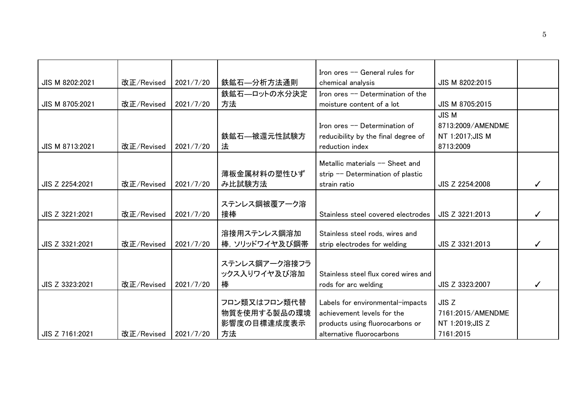|                 |            |           |               | Iron ores -- General rules for       |                   |  |
|-----------------|------------|-----------|---------------|--------------------------------------|-------------------|--|
| JIS M 8202:2021 | 改正/Revised | 2021/7/20 | 鉄鉱石—分析方法通則    | chemical analysis                    | JIS M 8202:2015   |  |
|                 |            |           | 鉄鉱石––ロットの水分決定 | Iron ores -- Determination of the    |                   |  |
| JIS M 8705:2021 | 改正/Revised | 2021/7/20 | 方法            | moisture content of a lot            | JIS M 8705:2015   |  |
|                 |            |           |               |                                      | <b>JIS M</b>      |  |
|                 |            |           |               | Iron ores -- Determination of        | 8713:2009/AMENDME |  |
|                 |            |           | 鉄鉱石—被還元性試験方   | reducibility by the final degree of  | NT 1:2017;JIS M   |  |
| JIS M 8713:2021 | 改正/Revised | 2021/7/20 | 法             | reduction index                      | 8713:2009         |  |
|                 |            |           |               | Metallic materials -- Sheet and      |                   |  |
|                 |            |           | 薄板金属材料の塑性ひず   | strip -- Determination of plastic    |                   |  |
| JIS Z 2254:2021 | 改正/Revised | 2021/7/20 | み比試験方法        | strain ratio                         | JIS Z 2254:2008   |  |
|                 |            |           |               |                                      |                   |  |
|                 |            |           | ステンレス鋼被覆アーク溶  |                                      |                   |  |
| JIS Z 3221:2021 | 改正/Revised | 2021/7/20 | 接棒            | Stainless steel covered electrodes   | JIS Z 3221:2013   |  |
|                 |            |           |               |                                      |                   |  |
|                 |            |           | 溶接用ステンレス鋼溶加   | Stainless steel rods, wires and      |                   |  |
| JIS Z 3321:2021 | 改正/Revised | 2021/7/20 | 棒、ソリッドワイヤ及び鋼帯 | strip electrodes for welding         | JIS Z 3321:2013   |  |
|                 |            |           |               |                                      |                   |  |
|                 |            |           | ステンレス鋼アーク溶接フラ |                                      |                   |  |
|                 |            |           | ックス入りワイヤ及び溶加  | Stainless steel flux cored wires and |                   |  |
| JIS Z 3323:2021 | 改正/Revised | 2021/7/20 | 棒             | rods for arc welding                 | JIS Z 3323:2007   |  |
|                 |            |           | フロン類又はフロン類代替  | Labels for environmental-impacts     | JIS Z             |  |
|                 |            |           | 物質を使用する製品の環境  | achievement levels for the           | 7161:2015/AMENDME |  |
|                 |            |           | 影響度の目標達成度表示   | products using fluorocarbons or      | NT 1:2019;JIS Z   |  |
| JIS Z 7161:2021 | 改正/Revised | 2021/7/20 | 方法            | alternative fluorocarbons            | 7161:2015         |  |
|                 |            |           |               |                                      |                   |  |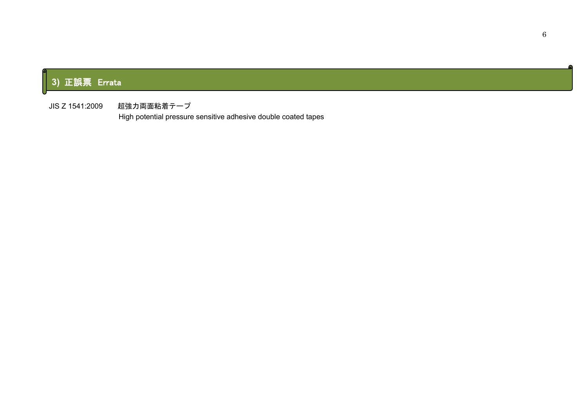# **3)** 正誤票 Errata

II

JIS Z 1541:2009 超強力両面粘着テープ

High potential pressure sensitive adhesive double coated tapes